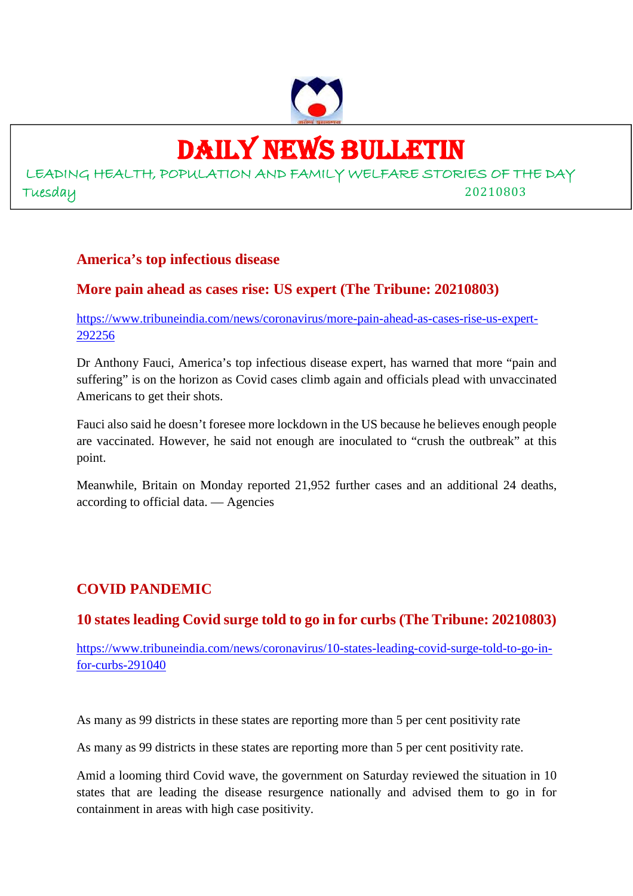

# DAILY NEWS BULLETIN

LEADING HEALTH, POPULATION AND FAMILY WELFARE STORIES OF THE DAY Tuesday 20210803

#### **America's top infectious disease**

## **More pain ahead as cases rise: US expert (The Tribune: 20210803)**

https://www.tribuneindia.com/news/coronavirus/more-pain-ahead-as-cases-rise-us-expert-292256

Dr Anthony Fauci, America's top infectious disease expert, has warned that more "pain and suffering" is on the horizon as Covid cases climb again and officials plead with unvaccinated Americans to get their shots.

Fauci also said he doesn't foresee more lockdown in the US because he believes enough people are vaccinated. However, he said not enough are inoculated to "crush the outbreak" at this point.

Meanwhile, Britain on Monday reported 21,952 further cases and an additional 24 deaths, according to official data. — Agencies

## **COVID PANDEMIC**

### **10 states leading Covid surge told to go in for curbs (The Tribune: 20210803)**

https://www.tribuneindia.com/news/coronavirus/10-states-leading-covid-surge-told-to-go-infor-curbs-291040

As many as 99 districts in these states are reporting more than 5 per cent positivity rate

As many as 99 districts in these states are reporting more than 5 per cent positivity rate.

Amid a looming third Covid wave, the government on Saturday reviewed the situation in 10 states that are leading the disease resurgence nationally and advised them to go in for containment in areas with high case positivity.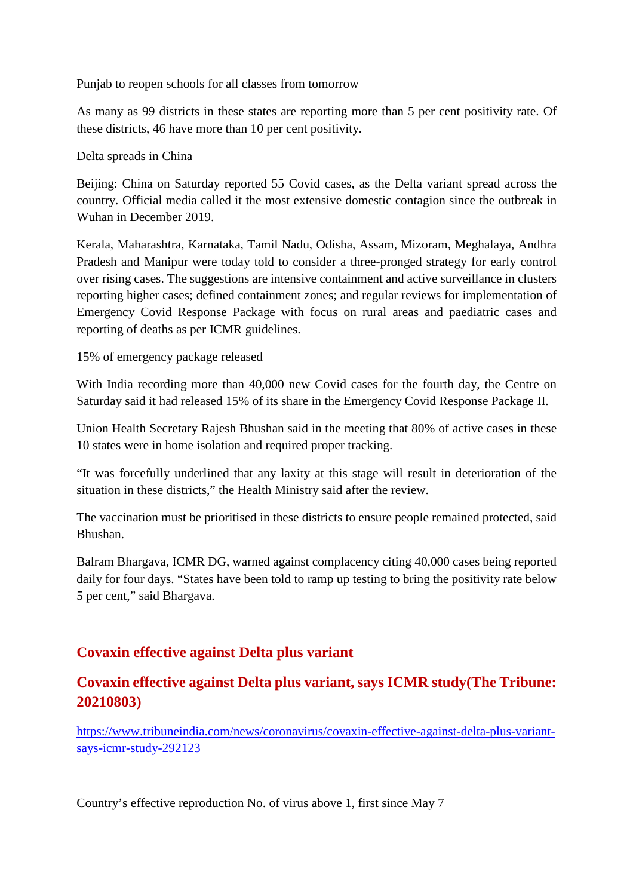Punjab to reopen schools for all classes from tomorrow

As many as 99 districts in these states are reporting more than 5 per cent positivity rate. Of these districts, 46 have more than 10 per cent positivity.

Delta spreads in China

Beijing: China on Saturday reported 55 Covid cases, as the Delta variant spread across the country. Official media called it the most extensive domestic contagion since the outbreak in Wuhan in December 2019.

Kerala, Maharashtra, Karnataka, Tamil Nadu, Odisha, Assam, Mizoram, Meghalaya, Andhra Pradesh and Manipur were today told to consider a three-pronged strategy for early control over rising cases. The suggestions are intensive containment and active surveillance in clusters reporting higher cases; defined containment zones; and regular reviews for implementation of Emergency Covid Response Package with focus on rural areas and paediatric cases and reporting of deaths as per ICMR guidelines.

15% of emergency package released

With India recording more than 40,000 new Covid cases for the fourth day, the Centre on Saturday said it had released 15% of its share in the Emergency Covid Response Package II.

Union Health Secretary Rajesh Bhushan said in the meeting that 80% of active cases in these 10 states were in home isolation and required proper tracking.

"It was forcefully underlined that any laxity at this stage will result in deterioration of the situation in these districts," the Health Ministry said after the review.

The vaccination must be prioritised in these districts to ensure people remained protected, said Bhushan.

Balram Bhargava, ICMR DG, warned against complacency citing 40,000 cases being reported daily for four days. "States have been told to ramp up testing to bring the positivity rate below 5 per cent," said Bhargava.

## **Covaxin effective against Delta plus variant**

## **Covaxin effective against Delta plus variant, says ICMR study(The Tribune: 20210803)**

https://www.tribuneindia.com/news/coronavirus/covaxin-effective-against-delta-plus-variantsays-icmr-study-292123

Country's effective reproduction No. of virus above 1, first since May 7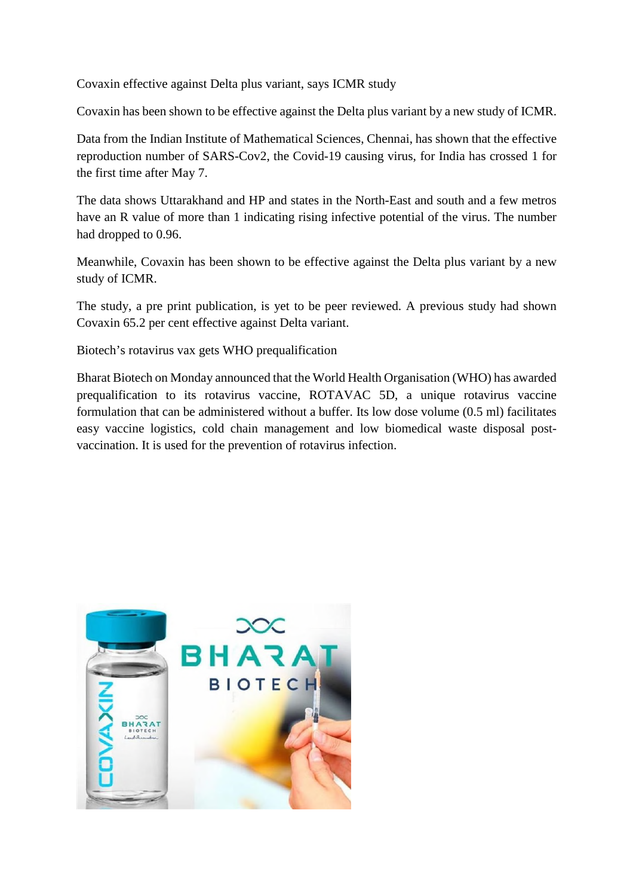Covaxin effective against Delta plus variant, says ICMR study

Covaxin has been shown to be effective against the Delta plus variant by a new study of ICMR.

Data from the Indian Institute of Mathematical Sciences, Chennai, has shown that the effective reproduction number of SARS-Cov2, the Covid-19 causing virus, for India has crossed 1 for the first time after May 7.

The data shows Uttarakhand and HP and states in the North-East and south and a few metros have an R value of more than 1 indicating rising infective potential of the virus. The number had dropped to 0.96.

Meanwhile, Covaxin has been shown to be effective against the Delta plus variant by a new study of ICMR.

The study, a pre print publication, is yet to be peer reviewed. A previous study had shown Covaxin 65.2 per cent effective against Delta variant.

Biotech's rotavirus vax gets WHO prequalification

Bharat Biotech on Monday announced that the World Health Organisation (WHO) has awarded prequalification to its rotavirus vaccine, ROTAVAC 5D, a unique rotavirus vaccine formulation that can be administered without a buffer. Its low dose volume (0.5 ml) facilitates easy vaccine logistics, cold chain management and low biomedical waste disposal postvaccination. It is used for the prevention of rotavirus infection.

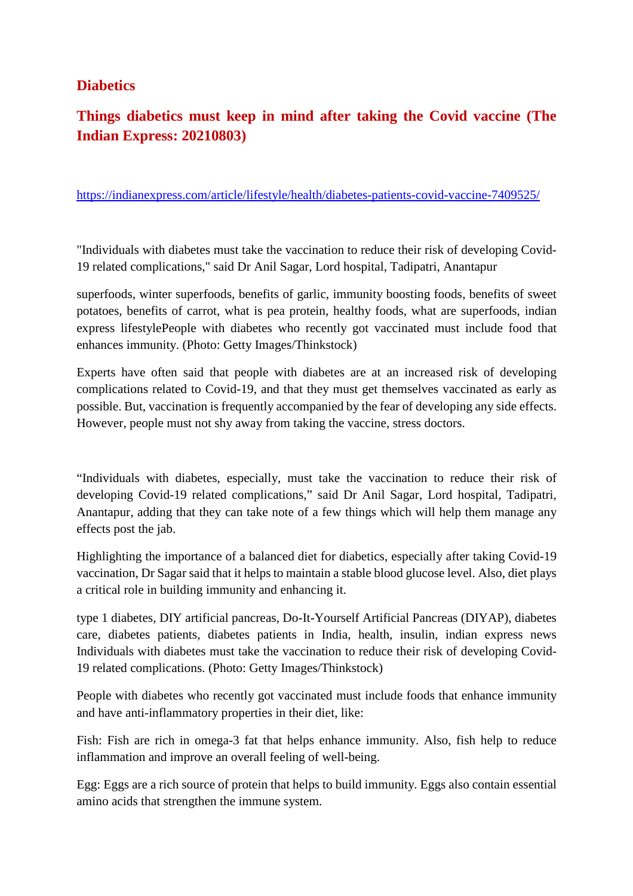### **Diabetics**

# **Things diabetics must keep in mind after taking the Covid vaccine (The Indian Express: 20210803)**

https://indianexpress.com/article/lifestyle/health/diabetes-patients-covid-vaccine-7409525/

"Individuals with diabetes must take the vaccination to reduce their risk of developing Covid-19 related complications," said Dr Anil Sagar, Lord hospital, Tadipatri, Anantapur

superfoods, winter superfoods, benefits of garlic, immunity boosting foods, benefits of sweet potatoes, benefits of carrot, what is pea protein, healthy foods, what are superfoods, indian express lifestylePeople with diabetes who recently got vaccinated must include food that enhances immunity. (Photo: Getty Images/Thinkstock)

Experts have often said that people with diabetes are at an increased risk of developing complications related to Covid-19, and that they must get themselves vaccinated as early as possible. But, vaccination is frequently accompanied by the fear of developing any side effects. However, people must not shy away from taking the vaccine, stress doctors.

"Individuals with diabetes, especially, must take the vaccination to reduce their risk of developing Covid-19 related complications," said Dr Anil Sagar, Lord hospital, Tadipatri, Anantapur, adding that they can take note of a few things which will help them manage any effects post the jab.

Highlighting the importance of a balanced diet for diabetics, especially after taking Covid-19 vaccination, Dr Sagar said that it helps to maintain a stable blood glucose level. Also, diet plays a critical role in building immunity and enhancing it.

type 1 diabetes, DIY artificial pancreas, Do-It-Yourself Artificial Pancreas (DIYAP), diabetes care, diabetes patients, diabetes patients in India, health, insulin, indian express news Individuals with diabetes must take the vaccination to reduce their risk of developing Covid-19 related complications. (Photo: Getty Images/Thinkstock)

People with diabetes who recently got vaccinated must include foods that enhance immunity and have anti-inflammatory properties in their diet, like:

Fish: Fish are rich in omega-3 fat that helps enhance immunity. Also, fish help to reduce inflammation and improve an overall feeling of well-being.

Egg: Eggs are a rich source of protein that helps to build immunity. Eggs also contain essential amino acids that strengthen the immune system.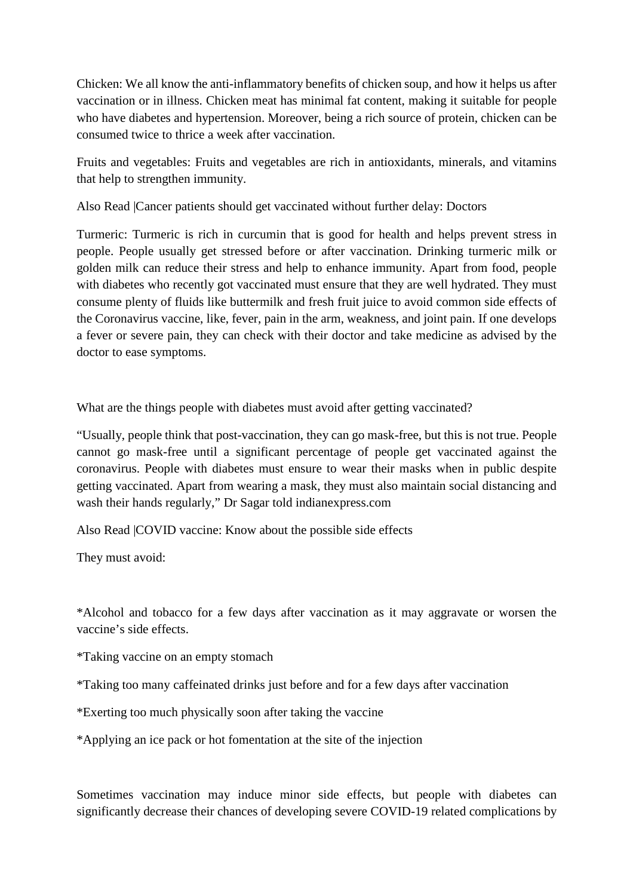Chicken: We all know the anti-inflammatory benefits of chicken soup, and how it helps us after vaccination or in illness. Chicken meat has minimal fat content, making it suitable for people who have diabetes and hypertension. Moreover, being a rich source of protein, chicken can be consumed twice to thrice a week after vaccination.

Fruits and vegetables: Fruits and vegetables are rich in antioxidants, minerals, and vitamins that help to strengthen immunity.

Also Read |Cancer patients should get vaccinated without further delay: Doctors

Turmeric: Turmeric is rich in curcumin that is good for health and helps prevent stress in people. People usually get stressed before or after vaccination. Drinking turmeric milk or golden milk can reduce their stress and help to enhance immunity. Apart from food, people with diabetes who recently got vaccinated must ensure that they are well hydrated. They must consume plenty of fluids like buttermilk and fresh fruit juice to avoid common side effects of the Coronavirus vaccine, like, fever, pain in the arm, weakness, and joint pain. If one develops a fever or severe pain, they can check with their doctor and take medicine as advised by the doctor to ease symptoms.

What are the things people with diabetes must avoid after getting vaccinated?

"Usually, people think that post-vaccination, they can go mask-free, but this is not true. People cannot go mask-free until a significant percentage of people get vaccinated against the coronavirus. People with diabetes must ensure to wear their masks when in public despite getting vaccinated. Apart from wearing a mask, they must also maintain social distancing and wash their hands regularly," Dr Sagar told indianexpress.com

Also Read |COVID vaccine: Know about the possible side effects

They must avoid:

\*Alcohol and tobacco for a few days after vaccination as it may aggravate or worsen the vaccine's side effects.

\*Taking vaccine on an empty stomach

\*Taking too many caffeinated drinks just before and for a few days after vaccination

\*Exerting too much physically soon after taking the vaccine

\*Applying an ice pack or hot fomentation at the site of the injection

Sometimes vaccination may induce minor side effects, but people with diabetes can significantly decrease their chances of developing severe COVID-19 related complications by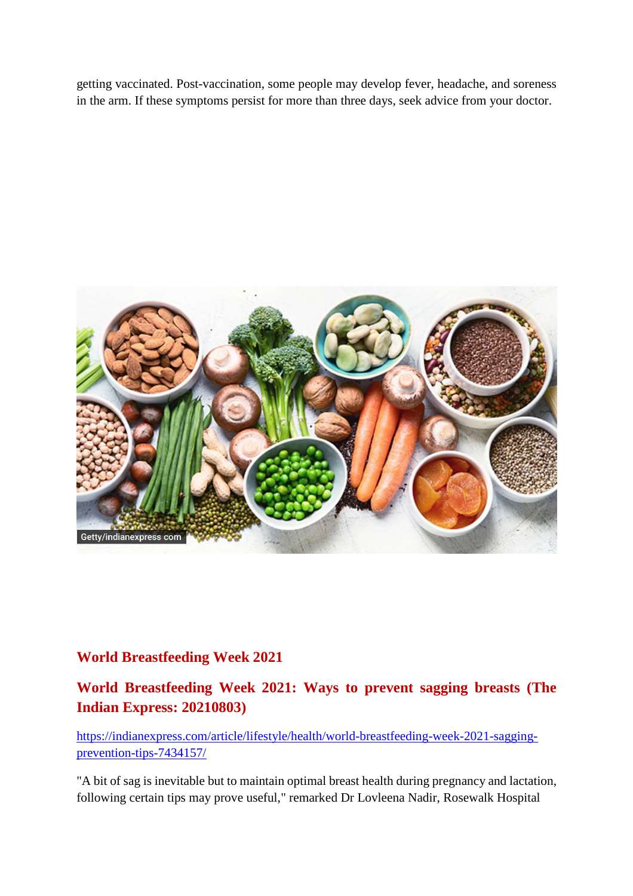getting vaccinated. Post-vaccination, some people may develop fever, headache, and soreness in the arm. If these symptoms persist for more than three days, seek advice from your doctor.



### **World Breastfeeding Week 2021**

**World Breastfeeding Week 2021: Ways to prevent sagging breasts (The Indian Express: 20210803)**

https://indianexpress.com/article/lifestyle/health/world-breastfeeding-week-2021-saggingprevention-tips-7434157/

"A bit of sag is inevitable but to maintain optimal breast health during pregnancy and lactation, following certain tips may prove useful," remarked Dr Lovleena Nadir, Rosewalk Hospital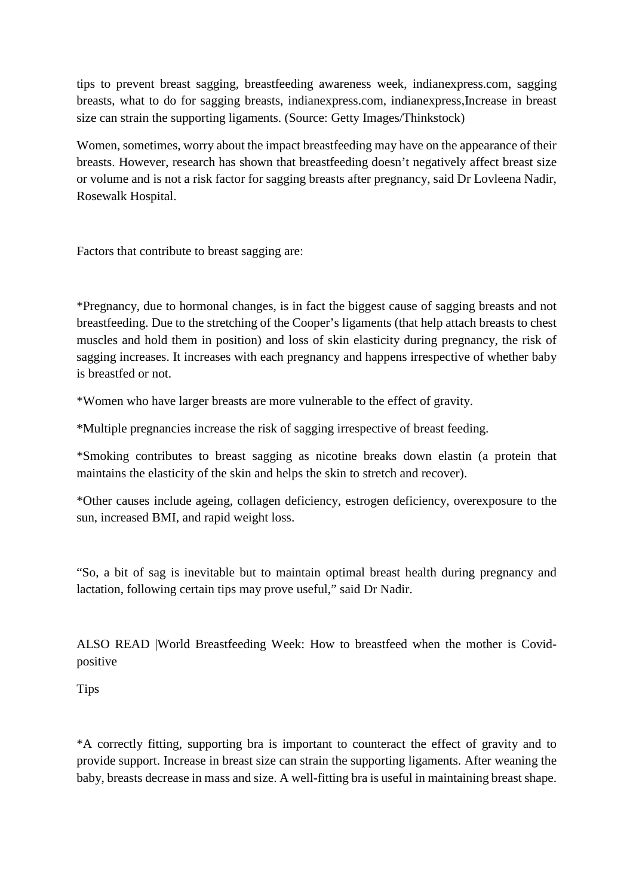tips to prevent breast sagging, breastfeeding awareness week, indianexpress.com, sagging breasts, what to do for sagging breasts, indianexpress.com, indianexpress,Increase in breast size can strain the supporting ligaments. (Source: Getty Images/Thinkstock)

Women, sometimes, worry about the impact breastfeeding may have on the appearance of their breasts. However, research has shown that breastfeeding doesn't negatively affect breast size or volume and is not a risk factor for sagging breasts after pregnancy, said Dr Lovleena Nadir, Rosewalk Hospital.

Factors that contribute to breast sagging are:

\*Pregnancy, due to hormonal changes, is in fact the biggest cause of sagging breasts and not breastfeeding. Due to the stretching of the Cooper's ligaments (that help attach breasts to chest muscles and hold them in position) and loss of skin elasticity during pregnancy, the risk of sagging increases. It increases with each pregnancy and happens irrespective of whether baby is breastfed or not.

\*Women who have larger breasts are more vulnerable to the effect of gravity.

\*Multiple pregnancies increase the risk of sagging irrespective of breast feeding.

\*Smoking contributes to breast sagging as nicotine breaks down elastin (a protein that maintains the elasticity of the skin and helps the skin to stretch and recover).

\*Other causes include ageing, collagen deficiency, estrogen deficiency, overexposure to the sun, increased BMI, and rapid weight loss.

"So, a bit of sag is inevitable but to maintain optimal breast health during pregnancy and lactation, following certain tips may prove useful," said Dr Nadir.

ALSO READ |World Breastfeeding Week: How to breastfeed when the mother is Covidpositive

Tips

\*A correctly fitting, supporting bra is important to counteract the effect of gravity and to provide support. Increase in breast size can strain the supporting ligaments. After weaning the baby, breasts decrease in mass and size. A well-fitting bra is useful in maintaining breast shape.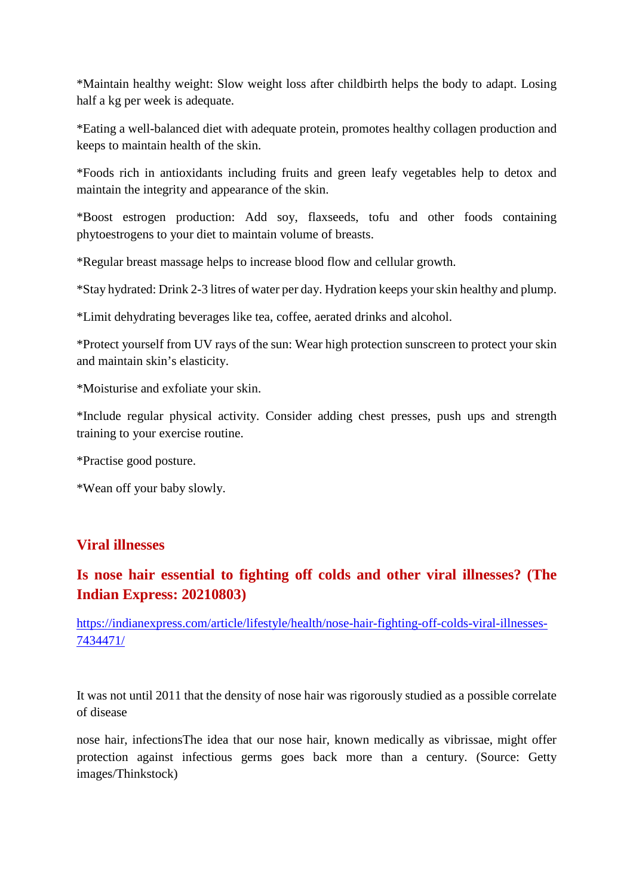\*Maintain healthy weight: Slow weight loss after childbirth helps the body to adapt. Losing half a kg per week is adequate.

\*Eating a well-balanced diet with adequate protein, promotes healthy collagen production and keeps to maintain health of the skin.

\*Foods rich in antioxidants including fruits and green leafy vegetables help to detox and maintain the integrity and appearance of the skin.

\*Boost estrogen production: Add soy, flaxseeds, tofu and other foods containing phytoestrogens to your diet to maintain volume of breasts.

\*Regular breast massage helps to increase blood flow and cellular growth.

\*Stay hydrated: Drink 2-3 litres of water per day. Hydration keeps your skin healthy and plump.

\*Limit dehydrating beverages like tea, coffee, aerated drinks and alcohol.

\*Protect yourself from UV rays of the sun: Wear high protection sunscreen to protect your skin and maintain skin's elasticity.

\*Moisturise and exfoliate your skin.

\*Include regular physical activity. Consider adding chest presses, push ups and strength training to your exercise routine.

\*Practise good posture.

\*Wean off your baby slowly.

#### **Viral illnesses**

# **Is nose hair essential to fighting off colds and other viral illnesses? (The Indian Express: 20210803)**

https://indianexpress.com/article/lifestyle/health/nose-hair-fighting-off-colds-viral-illnesses-7434471/

It was not until 2011 that the density of nose hair was rigorously studied as a possible correlate of disease

nose hair, infectionsThe idea that our nose hair, known medically as vibrissae, might offer protection against infectious germs goes back more than a century. (Source: Getty images/Thinkstock)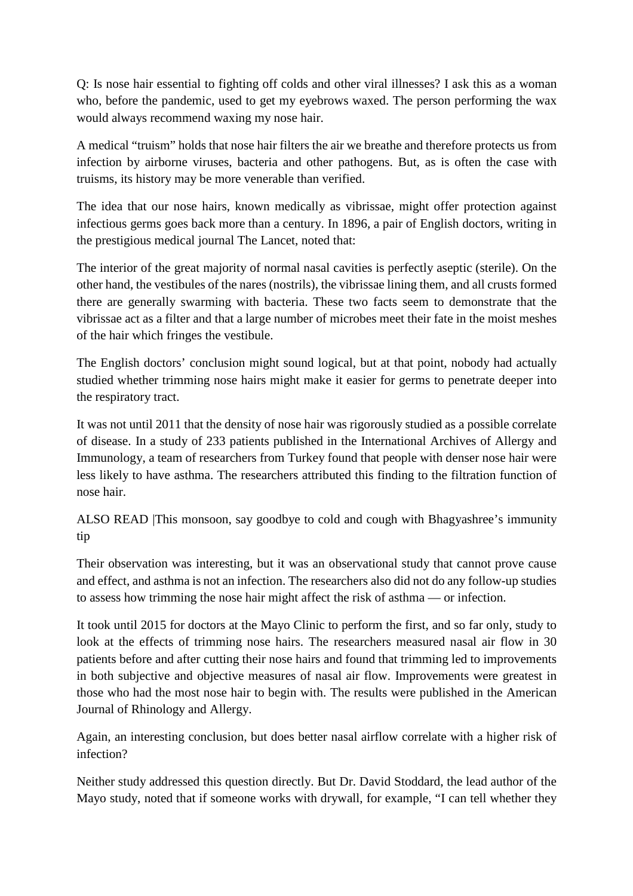Q: Is nose hair essential to fighting off colds and other viral illnesses? I ask this as a woman who, before the pandemic, used to get my eyebrows waxed. The person performing the wax would always recommend waxing my nose hair.

A medical "truism" holds that nose hair filters the air we breathe and therefore protects us from infection by airborne viruses, bacteria and other pathogens. But, as is often the case with truisms, its history may be more venerable than verified.

The idea that our nose hairs, known medically as vibrissae, might offer protection against infectious germs goes back more than a century. In 1896, a pair of English doctors, writing in the prestigious medical journal The Lancet, noted that:

The interior of the great majority of normal nasal cavities is perfectly aseptic (sterile). On the other hand, the vestibules of the nares (nostrils), the vibrissae lining them, and all crusts formed there are generally swarming with bacteria. These two facts seem to demonstrate that the vibrissae act as a filter and that a large number of microbes meet their fate in the moist meshes of the hair which fringes the vestibule.

The English doctors' conclusion might sound logical, but at that point, nobody had actually studied whether trimming nose hairs might make it easier for germs to penetrate deeper into the respiratory tract.

It was not until 2011 that the density of nose hair was rigorously studied as a possible correlate of disease. In a study of 233 patients published in the International Archives of Allergy and Immunology, a team of researchers from Turkey found that people with denser nose hair were less likely to have asthma. The researchers attributed this finding to the filtration function of nose hair.

ALSO READ |This monsoon, say goodbye to cold and cough with Bhagyashree's immunity tip

Their observation was interesting, but it was an observational study that cannot prove cause and effect, and asthma is not an infection. The researchers also did not do any follow-up studies to assess how trimming the nose hair might affect the risk of asthma — or infection.

It took until 2015 for doctors at the Mayo Clinic to perform the first, and so far only, study to look at the effects of trimming nose hairs. The researchers measured nasal air flow in 30 patients before and after cutting their nose hairs and found that trimming led to improvements in both subjective and objective measures of nasal air flow. Improvements were greatest in those who had the most nose hair to begin with. The results were published in the American Journal of Rhinology and Allergy.

Again, an interesting conclusion, but does better nasal airflow correlate with a higher risk of infection?

Neither study addressed this question directly. But Dr. David Stoddard, the lead author of the Mayo study, noted that if someone works with drywall, for example, "I can tell whether they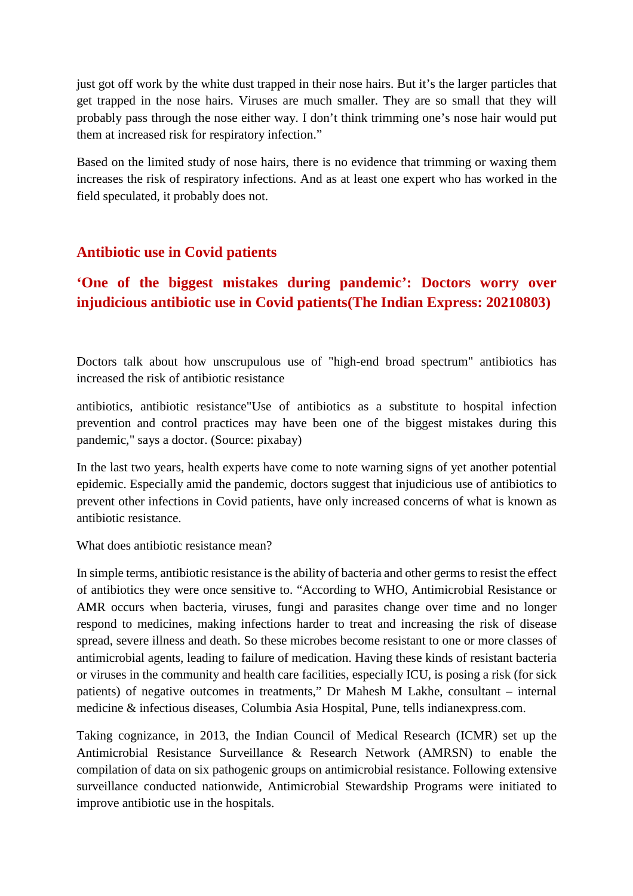just got off work by the white dust trapped in their nose hairs. But it's the larger particles that get trapped in the nose hairs. Viruses are much smaller. They are so small that they will probably pass through the nose either way. I don't think trimming one's nose hair would put them at increased risk for respiratory infection."

Based on the limited study of nose hairs, there is no evidence that trimming or waxing them increases the risk of respiratory infections. And as at least one expert who has worked in the field speculated, it probably does not.

### **Antibiotic use in Covid patients**

## **'One of the biggest mistakes during pandemic': Doctors worry over injudicious antibiotic use in Covid patients(The Indian Express: 20210803)**

Doctors talk about how unscrupulous use of "high-end broad spectrum" antibiotics has increased the risk of antibiotic resistance

antibiotics, antibiotic resistance"Use of antibiotics as a substitute to hospital infection prevention and control practices may have been one of the biggest mistakes during this pandemic," says a doctor. (Source: pixabay)

In the last two years, health experts have come to note warning signs of yet another potential epidemic. Especially amid the pandemic, doctors suggest that injudicious use of antibiotics to prevent other infections in Covid patients, have only increased concerns of what is known as antibiotic resistance.

What does antibiotic resistance mean?

In simple terms, antibiotic resistance is the ability of bacteria and other germs to resist the effect of antibiotics they were once sensitive to. "According to WHO, Antimicrobial Resistance or AMR occurs when bacteria, viruses, fungi and parasites change over time and no longer respond to medicines, making infections harder to treat and increasing the risk of disease spread, severe illness and death. So these microbes become resistant to one or more classes of antimicrobial agents, leading to failure of medication. Having these kinds of resistant bacteria or viruses in the community and health care facilities, especially ICU, is posing a risk (for sick patients) of negative outcomes in treatments," Dr Mahesh M Lakhe, consultant – internal medicine & infectious diseases, Columbia Asia Hospital, Pune, tells indianexpress.com.

Taking cognizance, in 2013, the Indian Council of Medical Research (ICMR) set up the Antimicrobial Resistance Surveillance & Research Network (AMRSN) to enable the compilation of data on six pathogenic groups on antimicrobial resistance. Following extensive surveillance conducted nationwide, Antimicrobial Stewardship Programs were initiated to improve antibiotic use in the hospitals.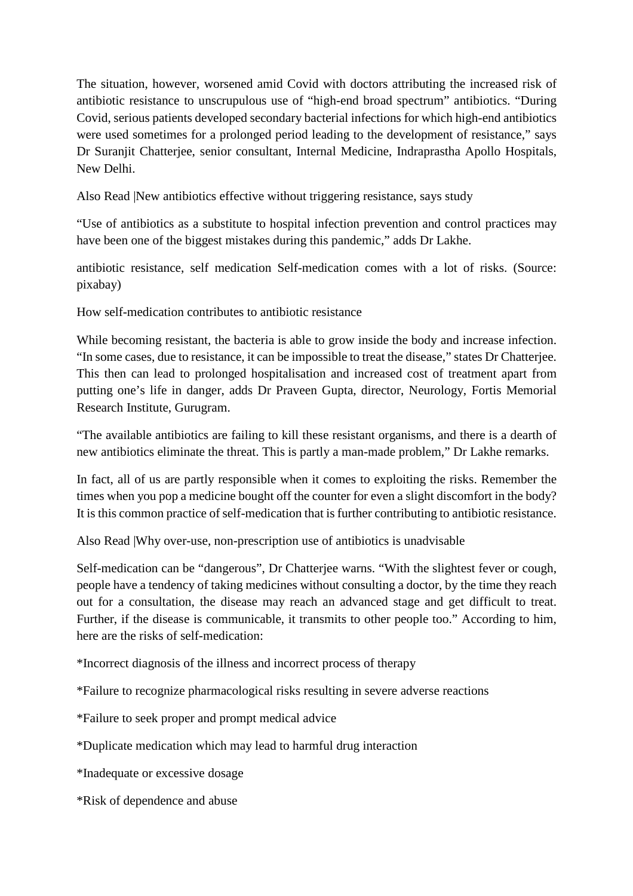The situation, however, worsened amid Covid with doctors attributing the increased risk of antibiotic resistance to unscrupulous use of "high-end broad spectrum" antibiotics. "During Covid, serious patients developed secondary bacterial infections for which high-end antibiotics were used sometimes for a prolonged period leading to the development of resistance," says Dr Suranjit Chatterjee, senior consultant, Internal Medicine, Indraprastha Apollo Hospitals, New Delhi.

Also Read |New antibiotics effective without triggering resistance, says study

"Use of antibiotics as a substitute to hospital infection prevention and control practices may have been one of the biggest mistakes during this pandemic," adds Dr Lakhe.

antibiotic resistance, self medication Self-medication comes with a lot of risks. (Source: pixabay)

How self-medication contributes to antibiotic resistance

While becoming resistant, the bacteria is able to grow inside the body and increase infection. "In some cases, due to resistance, it can be impossible to treat the disease," states Dr Chatterjee. This then can lead to prolonged hospitalisation and increased cost of treatment apart from putting one's life in danger, adds Dr Praveen Gupta, director, Neurology, Fortis Memorial Research Institute, Gurugram.

"The available antibiotics are failing to kill these resistant organisms, and there is a dearth of new antibiotics eliminate the threat. This is partly a man-made problem," Dr Lakhe remarks.

In fact, all of us are partly responsible when it comes to exploiting the risks. Remember the times when you pop a medicine bought off the counter for even a slight discomfort in the body? It is this common practice of self-medication that is further contributing to antibiotic resistance.

Also Read |Why over-use, non-prescription use of antibiotics is unadvisable

Self-medication can be "dangerous", Dr Chatterjee warns. "With the slightest fever or cough, people have a tendency of taking medicines without consulting a doctor, by the time they reach out for a consultation, the disease may reach an advanced stage and get difficult to treat. Further, if the disease is communicable, it transmits to other people too." According to him, here are the risks of self-medication:

\*Incorrect diagnosis of the illness and incorrect process of therapy

\*Failure to recognize pharmacological risks resulting in severe adverse reactions

\*Failure to seek proper and prompt medical advice

\*Duplicate medication which may lead to harmful drug interaction

\*Inadequate or excessive dosage

\*Risk of dependence and abuse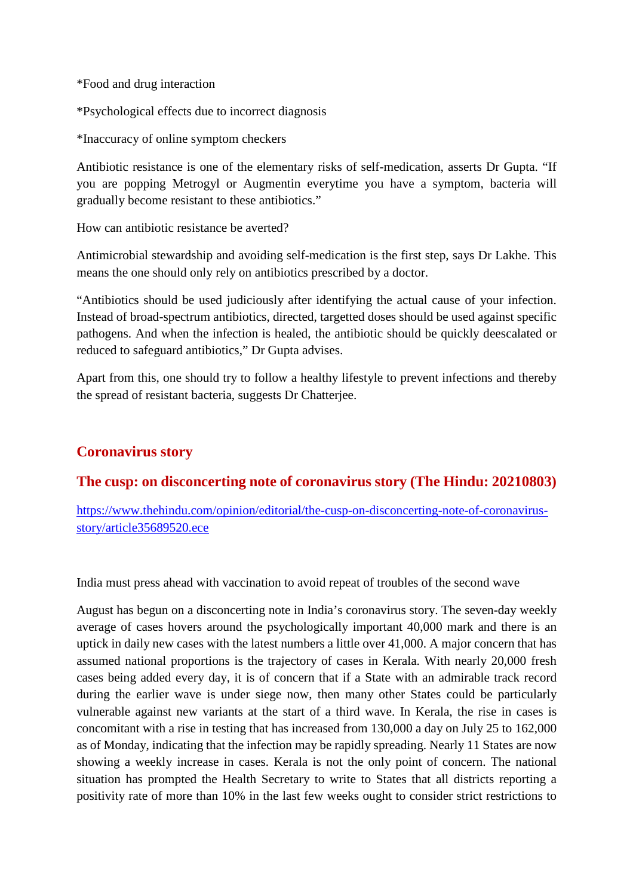\*Food and drug interaction

\*Psychological effects due to incorrect diagnosis

\*Inaccuracy of online symptom checkers

Antibiotic resistance is one of the elementary risks of self-medication, asserts Dr Gupta. "If you are popping Metrogyl or Augmentin everytime you have a symptom, bacteria will gradually become resistant to these antibiotics."

How can antibiotic resistance be averted?

Antimicrobial stewardship and avoiding self-medication is the first step, says Dr Lakhe. This means the one should only rely on antibiotics prescribed by a doctor.

"Antibiotics should be used judiciously after identifying the actual cause of your infection. Instead of broad-spectrum antibiotics, directed, targetted doses should be used against specific pathogens. And when the infection is healed, the antibiotic should be quickly deescalated or reduced to safeguard antibiotics," Dr Gupta advises.

Apart from this, one should try to follow a healthy lifestyle to prevent infections and thereby the spread of resistant bacteria, suggests Dr Chatterjee.

## **Coronavirus story**

### **The cusp: on disconcerting note of coronavirus story (The Hindu: 20210803)**

https://www.thehindu.com/opinion/editorial/the-cusp-on-disconcerting-note-of-coronavirusstory/article35689520.ece

India must press ahead with vaccination to avoid repeat of troubles of the second wave

August has begun on a disconcerting note in India's coronavirus story. The seven-day weekly average of cases hovers around the psychologically important 40,000 mark and there is an uptick in daily new cases with the latest numbers a little over 41,000. A major concern that has assumed national proportions is the trajectory of cases in Kerala. With nearly 20,000 fresh cases being added every day, it is of concern that if a State with an admirable track record during the earlier wave is under siege now, then many other States could be particularly vulnerable against new variants at the start of a third wave. In Kerala, the rise in cases is concomitant with a rise in testing that has increased from 130,000 a day on July 25 to 162,000 as of Monday, indicating that the infection may be rapidly spreading. Nearly 11 States are now showing a weekly increase in cases. Kerala is not the only point of concern. The national situation has prompted the Health Secretary to write to States that all districts reporting a positivity rate of more than 10% in the last few weeks ought to consider strict restrictions to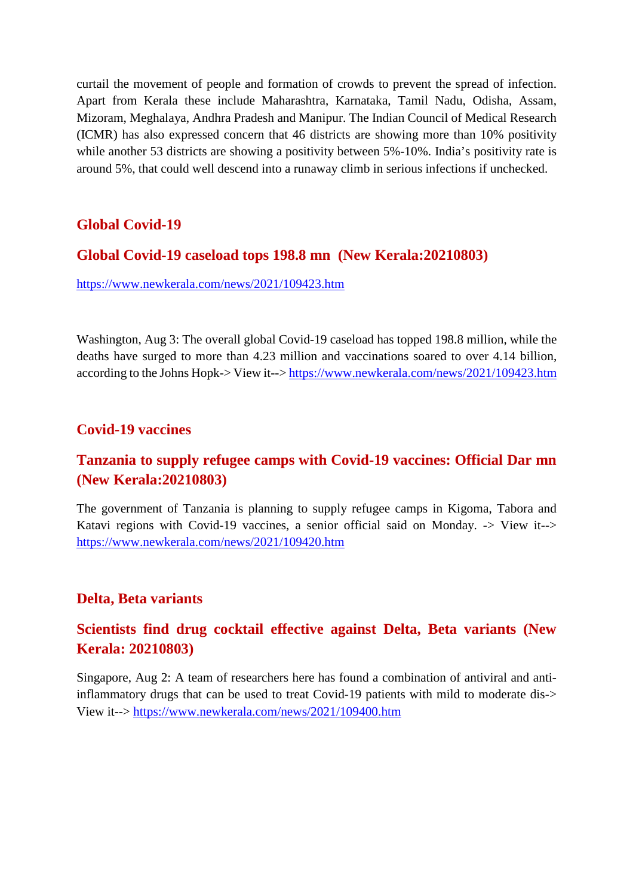curtail the movement of people and formation of crowds to prevent the spread of infection. Apart from Kerala these include Maharashtra, Karnataka, Tamil Nadu, Odisha, Assam, Mizoram, Meghalaya, Andhra Pradesh and Manipur. The Indian Council of Medical Research (ICMR) has also expressed concern that 46 districts are showing more than 10% positivity while another 53 districts are showing a positivity between 5%-10%. India's positivity rate is around 5%, that could well descend into a runaway climb in serious infections if unchecked.

## **Global Covid-19**

#### **Global Covid-19 caseload tops 198.8 mn (New Kerala:20210803)**

https://www.newkerala.com/news/2021/109423.htm

Washington, Aug 3: The overall global Covid-19 caseload has topped 198.8 million, while the deaths have surged to more than 4.23 million and vaccinations soared to over 4.14 billion, according to the Johns Hopk-> View it--> https://www.newkerala.com/news/2021/109423.htm

### **Covid-19 vaccines**

## **Tanzania to supply refugee camps with Covid-19 vaccines: Official Dar mn (New Kerala:20210803)**

The government of Tanzania is planning to supply refugee camps in Kigoma, Tabora and Katavi regions with Covid-19 vaccines, a senior official said on Monday. -> View it--> https://www.newkerala.com/news/2021/109420.htm

### **Delta, Beta variants**

## **Scientists find drug cocktail effective against Delta, Beta variants (New Kerala: 20210803)**

Singapore, Aug 2: A team of researchers here has found a combination of antiviral and antiinflammatory drugs that can be used to treat Covid-19 patients with mild to moderate dis-> View it--> https://www.newkerala.com/news/2021/109400.htm